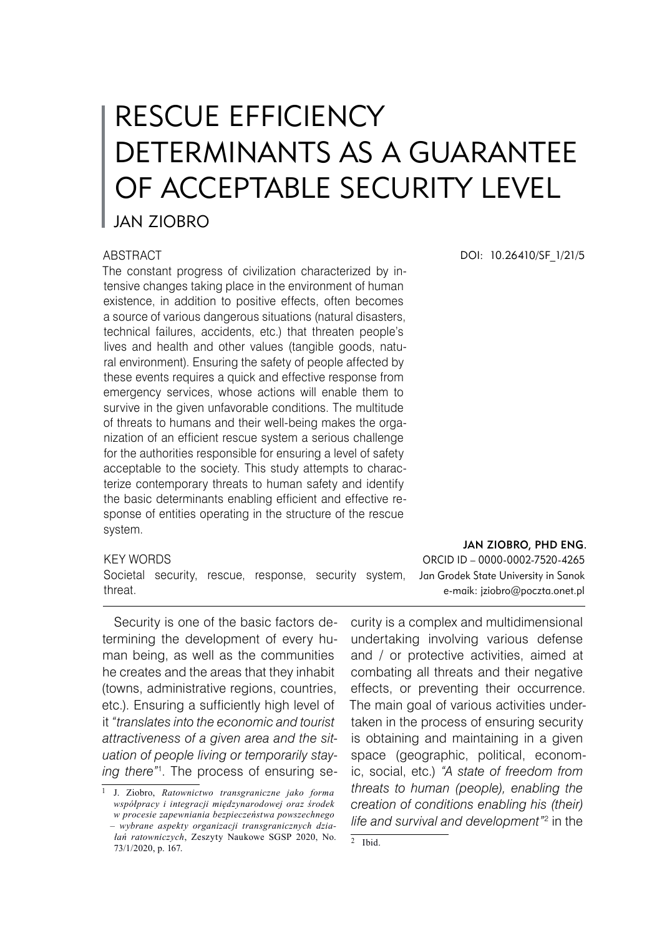# RESCUE EFFICIENCY DETERMINANTS AS A GUARANTEE OF ACCEPTABLE SECURITY LEVEL

## JAN ZIOBRO

#### **ABSTRACT**

The constant progress of civilization characterized by intensive changes taking place in the environment of human existence, in addition to positive effects, often becomes a source of various dangerous situations (natural disasters, technical failures, accidents, etc.) that threaten people's lives and health and other values (tangible goods, natural environment). Ensuring the safety of people affected by these events requires a quick and effective response from emergency services, whose actions will enable them to survive in the given unfavorable conditions. The multitude of threats to humans and their well-being makes the organization of an efficient rescue system a serious challenge for the authorities responsible for ensuring a level of safety acceptable to the society. This study attempts to characterize contemporary threats to human safety and identify the basic determinants enabling efficient and effective response of entities operating in the structure of the rescue system.

#### KEY WORDS

Societal security, rescue, response, security system, threat.

Security is one of the basic factors determining the development of every human being, as well as the communities he creates and the areas that they inhabit (towns, administrative regions, countries, etc.). Ensuring a sufficiently high level of it *"translates into the economic and tourist attractiveness of a given area and the situation of people living or temporarily staying there"* . The process of ensuring seDOI: 10.26410/SF\_1/21/5

#### Jan Ziobro, Phd Eng.

ORCID ID – 0000-0002-7520-4265 Jan Grodek State University in Sanok e-maik: jziobro@poczta.onet.pl

curity is a complex and multidimensional undertaking involving various defense and / or protective activities, aimed at combating all threats and their negative effects, or preventing their occurrence. The main goal of various activities undertaken in the process of ensuring security is obtaining and maintaining in a given space (geographic, political, economic, social, etc.) *"A state of freedom from threats to human (people), enabling the creation of conditions enabling his (their)*  life and survival and development"<sup>2</sup> in the

J. Ziobro, *Ratownictwo transgraniczne jako forma współpracy i integracji międzynarodowej oraz środek w procesie zapewniania bezpieczeństwa powszechnego – wybrane aspekty organizacji transgranicznych działań ratowniczych*, Zeszyty Naukowe SGSP 2020, No. 73/1/2020, p. 167.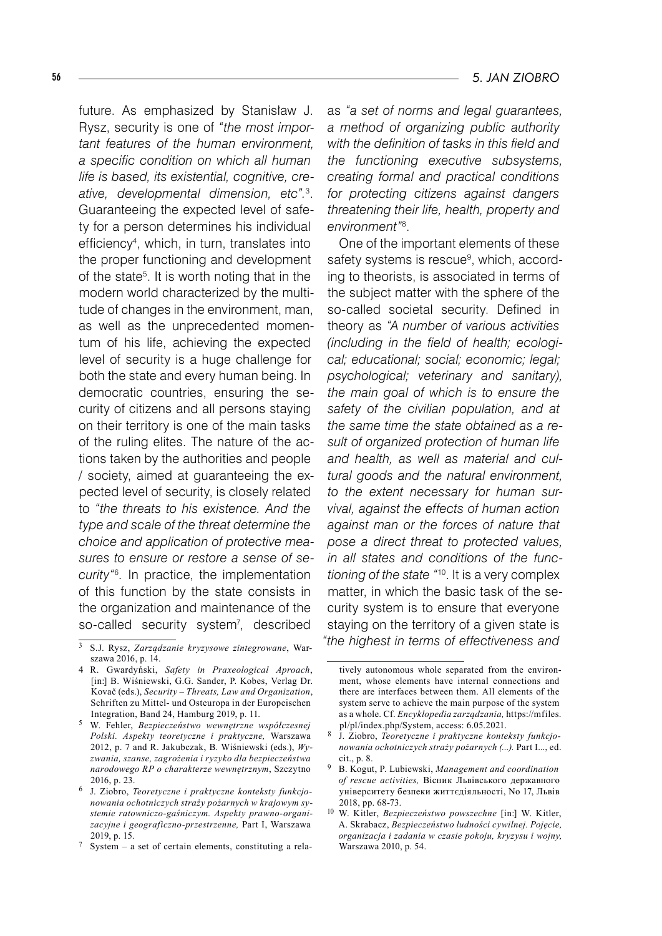future. As emphasized by Stanisław J. Rysz, security is one of *"the most important features of the human environment, a specific condition on which all human life is based, its existential, cognitive, creative, developmental dimension, etc".* . Guaranteeing the expected level of safety for a person determines his individual efficiency , which, in turn, translates into the proper functioning and development of the state<sup>5</sup>. It is worth noting that in the modern world characterized by the multitude of changes in the environment, man, as well as the unprecedented momentum of his life, achieving the expected level of security is a huge challenge for both the state and every human being. In democratic countries, ensuring the security of citizens and all persons staying on their territory is one of the main tasks of the ruling elites. The nature of the actions taken by the authorities and people / society, aimed at guaranteeing the expected level of security, is closely related to *"the threats to his existence. And the type and scale of the threat determine the choice and application of protective measures to ensure or restore a sense of security".* In practice, the implementation of this function by the state consists in the organization and maintenance of the so-called security system<sup>7</sup>, described

as *"a set of norms and legal guarantees, a method of organizing public authority with the definition of tasks in this field and the functioning executive subsystems, creating formal and practical conditions for protecting citizens against dangers threatening their life, health, property and environment"* .

One of the important elements of these safety systems is rescue<sup>9</sup>, which, according to theorists, is associated in terms of the subject matter with the sphere of the so-called societal security. Defined in theory as *"A number of various activities (including in the field of health; ecological; educational; social; economic; legal; psychological; veterinary and sanitary), the main goal of which is to ensure the safety of the civilian population, and at the same time the state obtained as a result of organized protection of human life and health, as well as material and cultural goods and the natural environment, to the extent necessary for human survival, against the effects of human action against man or the forces of nature that pose a direct threat to protected values, in all states and conditions of the functioning of the state "*<sup>10</sup> . It is a very complex matter, in which the basic task of the security system is to ensure that everyone staying on the territory of a given state is *"the highest in terms of effectiveness and* 

S.J. Rysz, *Zarządzanie kryzysowe zintegrowane*, Warszawa 2016, p. 14.

R. Gwardyński, *Safety in Praxeological Aproach*, [in:] B. Wiśniewski, G.G. Sander, P. Kobes, Verlag Dr. Kovač (eds.), *Security – Threats, Law and Organization*, Schriften zu Mittel- und Osteuropa in der Europeischen Integration, Band 24, Hamburg 2019, p. 11.

W. Fehler, *Bezpieczeństwo wewnętrzne współczesnej Polski. Aspekty teoretyczne i praktyczne,* Warszawa 2012, p. 7 and R. Jakubczak, B. Wiśniewski (eds.), *Wyzwania, szanse, zagrożenia i ryzyko dla bezpieczeństwa narodowego RP o charakterze wewnętrznym*, Szczytno 2016, p. 23.

J. Ziobro, *Teoretyczne i praktyczne konteksty funkcjonowania ochotniczych straży pożarnych w krajowym systemie ratowniczo-gaśniczym. Aspekty prawno-organizacyjne i geograficzno-przestrzenne,* Part I, Warszawa 2019, p. 15.

 $\frac{7}{5}$  System – a set of certain elements, constituting a rela-

tively autonomous whole separated from the environment, whose elements have internal connections and there are interfaces between them. All elements of the system serve to achieve the main purpose of the system as a whole. Cf. *Encyklopedia zarządzania,* https://mfiles. pl/pl/index.php/System, access: 6.05.2021.

J. Ziobro, *Teoretyczne i praktyczne konteksty funkcjonowania ochotniczych straży pożarnych (...).* Part I..., ed. cit., p. 8.

B. Kogut, P. Lubiewski, *Management and coordination of rescue activities,* Вісник Львівського державного університету безпеки життєдіяльності, No 17, Львів 2018, pp. 68-73.

<sup>10</sup> W. Kitler, *Bezpieczeństwo powszechne* [in:] W. Kitler, A. Skrabacz, *Bezpieczeństwo ludności cywilnej. Pojęcie, organizacja i zadania w czasie pokoju, kryzysu i wojny,* Warszawa 2010, p. 54.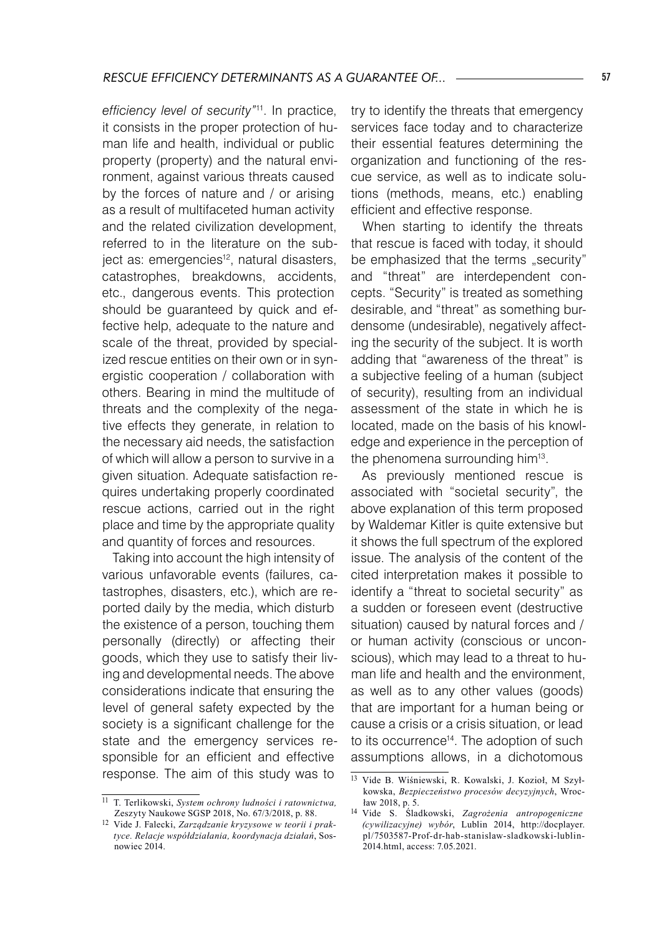*efficiency level of security"*11. In practice, it consists in the proper protection of human life and health, individual or public property (property) and the natural environment, against various threats caused by the forces of nature and / or arising as a result of multifaceted human activity and the related civilization development, referred to in the literature on the subject as: emergencies<sup>12</sup>, natural disasters, catastrophes, breakdowns, accidents, etc., dangerous events. This protection should be guaranteed by quick and effective help, adequate to the nature and scale of the threat, provided by specialized rescue entities on their own or in synergistic cooperation / collaboration with others. Bearing in mind the multitude of threats and the complexity of the negative effects they generate, in relation to the necessary aid needs, the satisfaction of which will allow a person to survive in a given situation. Adequate satisfaction requires undertaking properly coordinated rescue actions, carried out in the right place and time by the appropriate quality and quantity of forces and resources.

Taking into account the high intensity of various unfavorable events (failures, catastrophes, disasters, etc.), which are reported daily by the media, which disturb the existence of a person, touching them personally (directly) or affecting their goods, which they use to satisfy their living and developmental needs. The above considerations indicate that ensuring the level of general safety expected by the society is a significant challenge for the state and the emergency services responsible for an efficient and effective response. The aim of this study was to

try to identify the threats that emergency services face today and to characterize their essential features determining the organization and functioning of the rescue service, as well as to indicate solutions (methods, means, etc.) enabling efficient and effective response.

When starting to identify the threats that rescue is faced with today, it should be emphasized that the terms  $s$ security" and "threat" are interdependent concepts. "Security" is treated as something desirable, and "threat" as something burdensome (undesirable), negatively affecting the security of the subject. It is worth adding that "awareness of the threat" is a subjective feeling of a human (subject of security), resulting from an individual assessment of the state in which he is located, made on the basis of his knowledge and experience in the perception of the phenomena surrounding him<sup>13</sup>.

As previously mentioned rescue is associated with "societal security", the above explanation of this term proposed by Waldemar Kitler is quite extensive but it shows the full spectrum of the explored issue. The analysis of the content of the cited interpretation makes it possible to identify a "threat to societal security" as a sudden or foreseen event (destructive situation) caused by natural forces and / or human activity (conscious or unconscious), which may lead to a threat to human life and health and the environment, as well as to any other values (goods) that are important for a human being or cause a crisis or a crisis situation, or lead to its occurrence<sup>14</sup>. The adoption of such assumptions allows, in a dichotomous

<sup>11</sup> T. Terlikowski, *System ochrony ludności i ratownictwa,* Zeszyty Naukowe SGSP 2018, No. 67/3/2018, p. 88.

<sup>12</sup> Vide J. Falecki, *Zarządzanie kryzysowe w teorii i praktyce. Relacje współdziałania, koordynacja działań*, Sosnowiec 2014.

<sup>13</sup> Vide B. Wiśniewski, R. Kowalski, J. Kozioł, M Szyłkowska, *Bezpieczeństwo procesów decyzyjnych*, Wrocław 2018, p. 5.

<sup>14</sup> Vide S. Śladkowski, *Zagrożenia antropogeniczne (cywilizacyjne) wybór*, Lublin 2014, http://docplayer. pl/7503587-Prof-dr-hab-stanislaw-sladkowski-lublin-2014.html, access: 7.05.2021.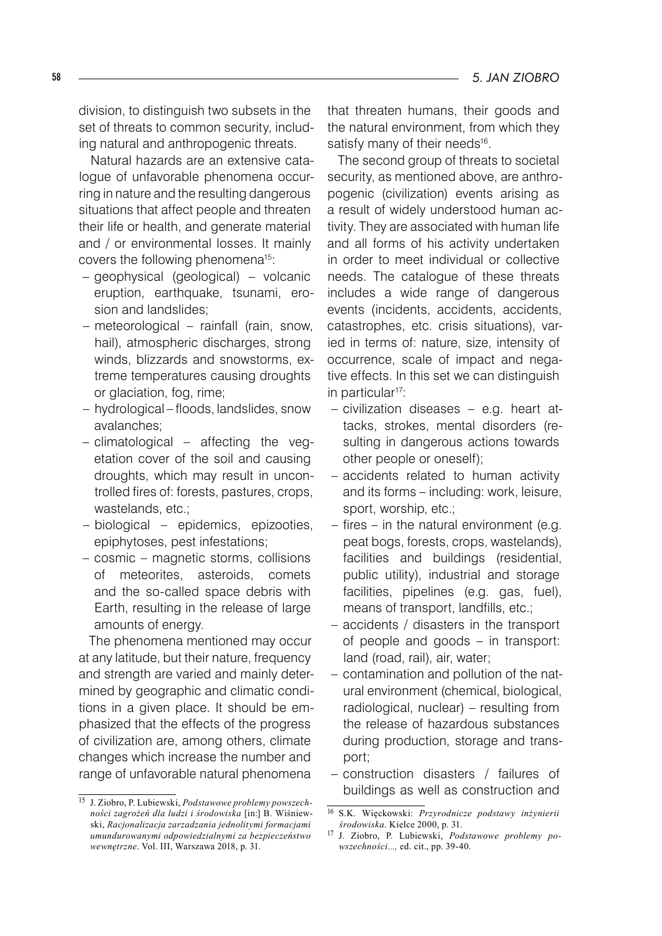division, to distinguish two subsets in the set of threats to common security, including natural and anthropogenic threats.

Natural hazards are an extensive catalogue of unfavorable phenomena occurring in nature and the resulting dangerous situations that affect people and threaten their life or health, and generate material and / or environmental losses. It mainly covers the following phenomena15:

- geophysical (geological) volcanic eruption, earthquake, tsunami, erosion and landslides;
- meteorological rainfall (rain, snow, hail), atmospheric discharges, strong winds, blizzards and snowstorms, extreme temperatures causing droughts or glaciation, fog, rime;
- hydrological floods, landslides, snow avalanches;
- climatological affecting the vegetation cover of the soil and causing droughts, which may result in uncontrolled fires of: forests, pastures, crops, wastelands, etc.;
- biological epidemics, epizooties, epiphytoses, pest infestations;
- cosmic magnetic storms, collisions of meteorites, asteroids, comets and the so-called space debris with Earth, resulting in the release of large amounts of energy.

The phenomena mentioned may occur at any latitude, but their nature, frequency and strength are varied and mainly determined by geographic and climatic conditions in a given place. It should be emphasized that the effects of the progress of civilization are, among others, climate changes which increase the number and range of unfavorable natural phenomena

that threaten humans, their goods and the natural environment, from which they satisfy many of their needs<sup>16</sup>.

The second group of threats to societal security, as mentioned above, are anthropogenic (civilization) events arising as a result of widely understood human activity. They are associated with human life and all forms of his activity undertaken in order to meet individual or collective needs. The catalogue of these threats includes a wide range of dangerous events (incidents, accidents, accidents, catastrophes, etc. crisis situations), varied in terms of: nature, size, intensity of occurrence, scale of impact and negative effects. In this set we can distinguish in particular<sup>17</sup>:

- civilization diseases e.g. heart attacks, strokes, mental disorders (resulting in dangerous actions towards other people or oneself);
- accidents related to human activity and its forms – including: work, leisure, sport, worship, etc.;
- $-$  fires  $-$  in the natural environment (e.g. peat bogs, forests, crops, wastelands), facilities and buildings (residential, public utility), industrial and storage facilities, pipelines (e.g. gas, fuel), means of transport, landfills, etc.;
- accidents / disasters in the transport of people and goods – in transport: land (road, rail), air, water; –
- contamination and pollution of the natural environment (chemical, biological, radiological, nuclear) – resulting from the release of hazardous substances during production, storage and transport; –
- construction disasters / failures of buildings as well as construction and –

<sup>15</sup> J. Ziobro, P. Lubiewski, *Podstawowe problemy powszechności zagrożeń dla ludzi i środowiska* [in:] B. Wiśniewski, *Racjonalizacja zarzadzania jednolitymi formacjami umundurowanymi odpowiedzialnymi za bezpieczeństwo wewnętrzne*. Vol. III, Warszawa 2018, p. 31.

<sup>16</sup> S.K. Więckowski: *Przyrodnicze podstawy inżynierii środowiska*. Kielce 2000, p. 31.

<sup>17</sup> J. Ziobro, P. Lubiewski, *Podstawowe problemy powszechności...,* ed. cit., pp. 39-40.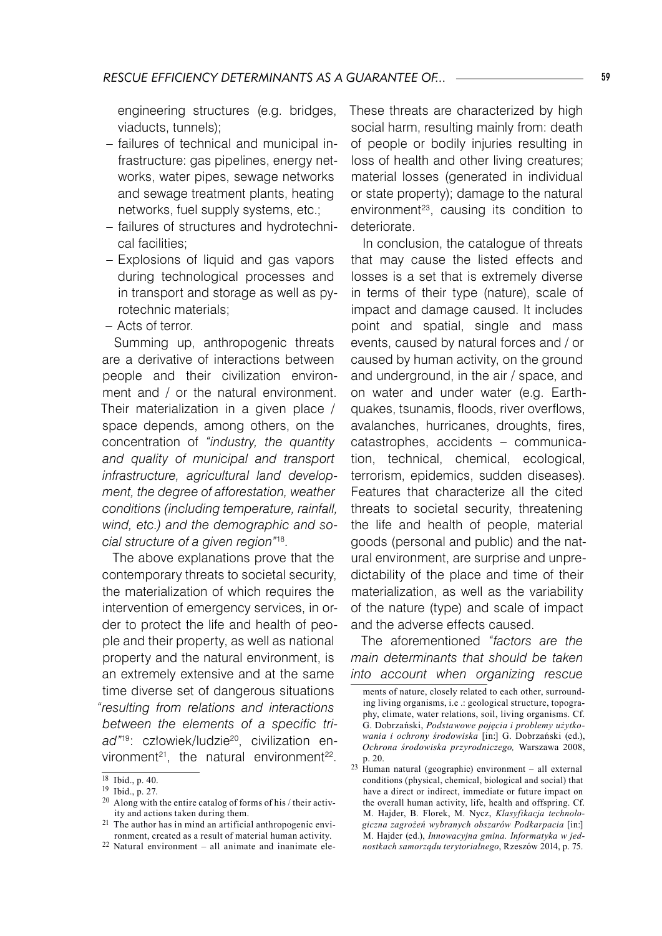engineering structures (e.g. bridges, viaducts, tunnels);

- failures of technical and municipal infrastructure: gas pipelines, energy networks, water pipes, sewage networks and sewage treatment plants, heating networks, fuel supply systems, etc.;
- failures of structures and hydrotechnical facilities;
- Explosions of liquid and gas vapors during technological processes and in transport and storage as well as pyrotechnic materials;
- Acts of terror. –

Summing up, anthropogenic threats are a derivative of interactions between people and their civilization environment and / or the natural environment. Their materialization in a given place / space depends, among others, on the concentration of *"industry, the quantity and quality of municipal and transport infrastructure, agricultural land development, the degree of afforestation, weather conditions (including temperature, rainfall, wind, etc.) and the demographic and social structure of a given region"*<sup>18</sup>*.* 

The above explanations prove that the contemporary threats to societal security, the materialization of which requires the intervention of emergency services, in order to protect the life and health of people and their property, as well as national property and the natural environment, is an extremely extensive and at the same time diverse set of dangerous situations *"resulting from relations and interactions between the elements of a specific tri*ad"<sup>19</sup>: człowiek/ludzie<sup>20</sup>, civilization environment<sup>21</sup>, the natural environment<sup>22</sup>.

These threats are characterized by high social harm, resulting mainly from: death of people or bodily injuries resulting in loss of health and other living creatures; material losses (generated in individual or state property); damage to the natural environment<sup>23</sup>, causing its condition to deteriorate.

In conclusion, the catalogue of threats that may cause the listed effects and losses is a set that is extremely diverse in terms of their type (nature), scale of impact and damage caused. It includes point and spatial, single and mass events, caused by natural forces and / or caused by human activity, on the ground and underground, in the air / space, and on water and under water (e.g. Earthquakes, tsunamis, floods, river overflows, avalanches, hurricanes, droughts, fires, catastrophes, accidents – communication, technical, chemical, ecological, terrorism, epidemics, sudden diseases). Features that characterize all the cited threats to societal security, threatening the life and health of people, material goods (personal and public) and the natural environment, are surprise and unpredictability of the place and time of their materialization, as well as the variability of the nature (type) and scale of impact and the adverse effects caused.

The aforementioned *"factors are the main determinants that should be taken into account when organizing rescue* 

 $\overline{^{18}}$  Ibid., p. 40.

<sup>19</sup> Ibid., p. 27.

<sup>20</sup> Along with the entire catalog of forms of his / their activity and actions taken during them.

<sup>21</sup> The author has in mind an artificial anthropogenic environment, created as a result of material human activity.

<sup>22</sup> Natural environment – all animate and inanimate ele-

ments of nature, closely related to each other, surrounding living organisms, i.e .: geological structure, topography, climate, water relations, soil, living organisms. Cf. G. Dobrzański, *Podstawowe pojęcia i problemy użytkowania i ochrony środowiska* [in:] G. Dobrzański (ed.), *Ochrona środowiska przyrodniczego,* Warszawa 2008, p. 20.

<sup>23</sup> Human natural (geographic) environment – all external conditions (physical, chemical, biological and social) that have a direct or indirect, immediate or future impact on the overall human activity, life, health and offspring. Cf. M. Hajder, B. Florek, M. Nycz, *Klasyfikacja technologiczna zagrożeń wybranych obszarów Podkarpacia* [in:] M. Hajder (ed.), *Innowacyjna gmina. Informatyka w jednostkach samorządu terytorialnego*, Rzeszów 2014, p. 75.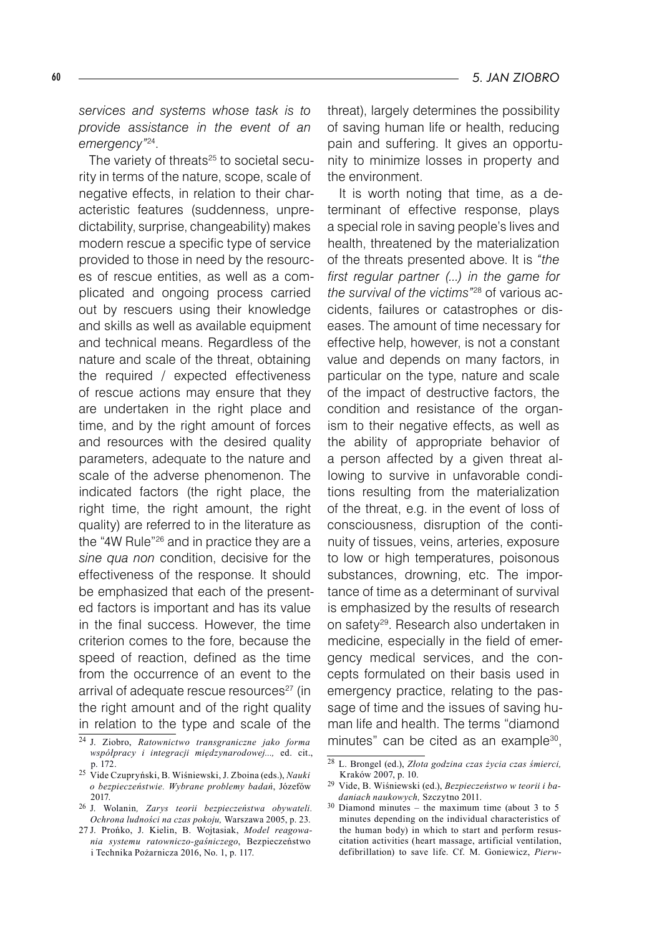*services and systems whose task is to provide assistance in the event of an emergency"*24.

The variety of threats<sup>25</sup> to societal security in terms of the nature, scope, scale of negative effects, in relation to their characteristic features (suddenness, unpredictability, surprise, changeability) makes modern rescue a specific type of service provided to those in need by the resources of rescue entities, as well as a complicated and ongoing process carried out by rescuers using their knowledge and skills as well as available equipment and technical means. Regardless of the nature and scale of the threat, obtaining the required / expected effectiveness of rescue actions may ensure that they are undertaken in the right place and time, and by the right amount of forces and resources with the desired quality parameters, adequate to the nature and scale of the adverse phenomenon. The indicated factors (the right place, the right time, the right amount, the right quality) are referred to in the literature as the "4W Rule"26 and in practice they are a *sine qua non* condition, decisive for the effectiveness of the response. It should be emphasized that each of the presented factors is important and has its value in the final success. However, the time criterion comes to the fore, because the speed of reaction, defined as the time from the occurrence of an event to the arrival of adequate rescue resources<sup>27</sup> (in the right amount and of the right quality in relation to the type and scale of the

threat), largely determines the possibility of saving human life or health, reducing pain and suffering. It gives an opportunity to minimize losses in property and the environment.

It is worth noting that time, as a determinant of effective response, plays a special role in saving people's lives and health, threatened by the materialization of the threats presented above. It is *"the first regular partner (...) in the game for the survival of the victims"*28 of various accidents, failures or catastrophes or diseases. The amount of time necessary for effective help, however, is not a constant value and depends on many factors, in particular on the type, nature and scale of the impact of destructive factors, the condition and resistance of the organism to their negative effects, as well as the ability of appropriate behavior of a person affected by a given threat allowing to survive in unfavorable conditions resulting from the materialization of the threat, e.g. in the event of loss of consciousness, disruption of the continuity of tissues, veins, arteries, exposure to low or high temperatures, poisonous substances, drowning, etc. The importance of time as a determinant of survival is emphasized by the results of research on safety29. Research also undertaken in medicine, especially in the field of emergency medical services, and the concepts formulated on their basis used in emergency practice, relating to the passage of time and the issues of saving human life and health. The terms "diamond minutes" can be cited as an example<sup>30</sup>,

<sup>24</sup> J. Ziobro, *Ratownictwo transgraniczne jako forma współpracy i integracji międzynarodowej...,* ed. cit., p. 172.

<sup>25</sup> Vide Czupryński, B. Wiśniewski, J. Zboina (eds.), *Nauki o bezpieczeństwie. Wybrane problemy badań*, Józefów 2017.

<sup>26</sup> J. Wolanin*, Zarys teorii bezpieczeństwa obywateli. Ochrona ludności na czas pokoju,* Warszawa 2005, p. 23.

<sup>27</sup> J. Prońko, J. Kielin, B. Wojtasiak, *Model reagowania systemu ratowniczo-gaśniczego*, Bezpieczeństwo i Technika Pożarnicza 2016, No. 1, p. 117.

<sup>28</sup> L. Brongel (ed.), *Złota godzina czas życia czas śmierci,* Kraków 2007, p. 10.

<sup>29</sup> Vide, B. Wiśniewski (ed.), *Bezpieczeństwo w teorii i badaniach naukowych,* Szczytno 2011.

<sup>30</sup> Diamond minutes – the maximum time (about 3 to 5 minutes depending on the individual characteristics of the human body) in which to start and perform resuscitation activities (heart massage, artificial ventilation, defibrillation) to save life. Cf. M. Goniewicz, *Pierw-*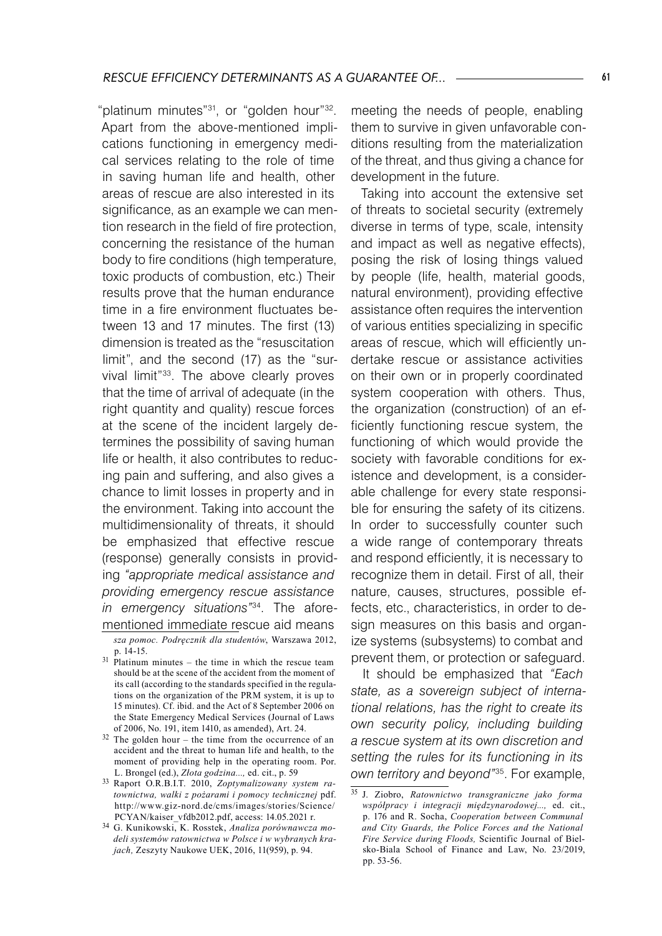"platinum minutes"31, or "golden hour"32. Apart from the above-mentioned implications functioning in emergency medical services relating to the role of time in saving human life and health, other areas of rescue are also interested in its significance, as an example we can mention research in the field of fire protection, concerning the resistance of the human body to fire conditions (high temperature, toxic products of combustion, etc.) Their results prove that the human endurance time in a fire environment fluctuates between 13 and 17 minutes. The first (13) dimension is treated as the "resuscitation limit", and the second (17) as the "survival limit"33. The above clearly proves that the time of arrival of adequate (in the right quantity and quality) rescue forces at the scene of the incident largely determines the possibility of saving human life or health, it also contributes to reducing pain and suffering, and also gives a chance to limit losses in property and in the environment. Taking into account the multidimensionality of threats, it should be emphasized that effective rescue (response) generally consists in providing *"appropriate medical assistance and providing emergency rescue assistance in emergency situations"*34. The aforementioned immediate rescue aid means

*sza pomoc. Podręcznik dla studentów*, Warszawa 2012, p. 14-15.

<sup>31</sup> Platinum minutes – the time in which the rescue team should be at the scene of the accident from the moment of its call (according to the standards specified in the regulations on the organization of the PRM system, it is up to 15 minutes). Cf. ibid. and the Act of 8 September 2006 on the State Emergency Medical Services (Journal of Laws of 2006, No. 191, item 1410, as amended), Art. 24.

 $32$  The golden hour – the time from the occurrence of an accident and the threat to human life and health, to the moment of providing help in the operating room. Por. L. Brongel (ed.), *Złota godzina...,* ed. cit., p. 59

<sup>33</sup> Raport O.R.B.I.T. 2010, *Zoptymalizowany system ratownictwa, walki z pożarami i pomocy technicznej* pdf. http://www.giz-nord.de/cms/images/stories/Science/ PCYAN/kaiser\_vfdb2012.pdf, access: 14.05.2021 r.

<sup>34</sup> G. Kunikowski, K. Rosstek, *Analiza porównawcza modeli systemów ratownictwa w Polsce i w wybranych krajach,* Zeszyty Naukowe UEK, 2016, 11(959), p. 94.

meeting the needs of people, enabling them to survive in given unfavorable conditions resulting from the materialization of the threat, and thus giving a chance for development in the future.

Taking into account the extensive set of threats to societal security (extremely diverse in terms of type, scale, intensity and impact as well as negative effects), posing the risk of losing things valued by people (life, health, material goods, natural environment), providing effective assistance often requires the intervention of various entities specializing in specific areas of rescue, which will efficiently undertake rescue or assistance activities on their own or in properly coordinated system cooperation with others. Thus, the organization (construction) of an efficiently functioning rescue system, the functioning of which would provide the society with favorable conditions for existence and development, is a considerable challenge for every state responsible for ensuring the safety of its citizens. In order to successfully counter such a wide range of contemporary threats and respond efficiently, it is necessary to recognize them in detail. First of all, their nature, causes, structures, possible effects, etc., characteristics, in order to design measures on this basis and organize systems (subsystems) to combat and prevent them, or protection or safeguard.

It should be emphasized that *"Each state, as a sovereign subject of international relations, has the right to create its own security policy, including building a rescue system at its own discretion and setting the rules for its functioning in its own territory and beyond"*35. For example,

<sup>35</sup> J. Ziobro, *Ratownictwo transgraniczne jako forma współpracy i integracji międzynarodowej...,* ed. cit., p. 176 and R. Socha, *Cooperation between Communal and City Guards, the Police Forces and the National Fire Service during Floods,* Scientific Journal of Bielsko-Biala School of Finance and Law, No. 23/2019, pp. 53-56.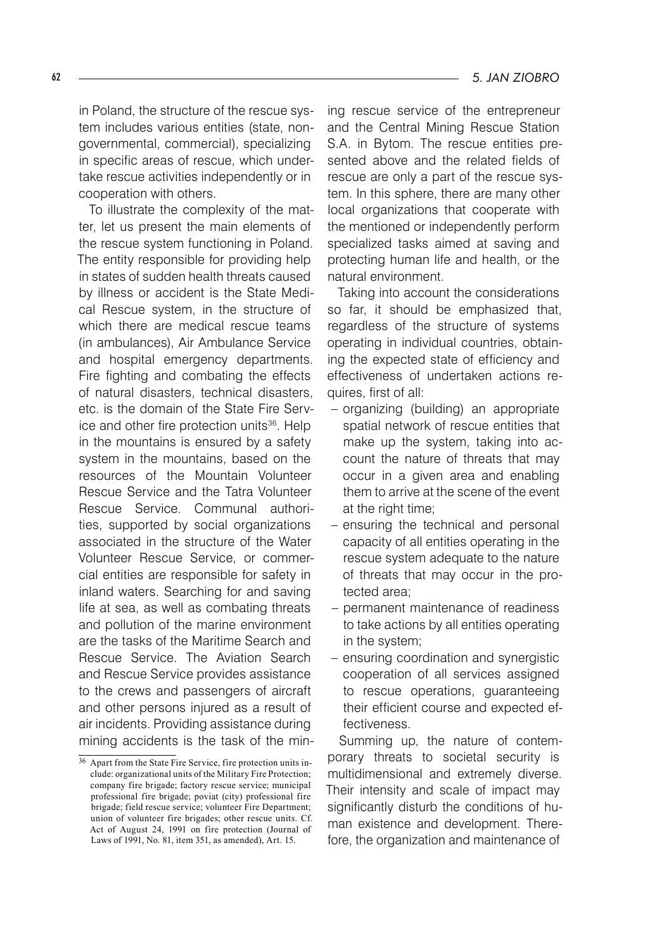in Poland, the structure of the rescue system includes various entities (state, nongovernmental, commercial), specializing in specific areas of rescue, which undertake rescue activities independently or in cooperation with others.

To illustrate the complexity of the matter, let us present the main elements of the rescue system functioning in Poland. The entity responsible for providing help in states of sudden health threats caused by illness or accident is the State Medical Rescue system, in the structure of which there are medical rescue teams (in ambulances), Air Ambulance Service and hospital emergency departments. Fire fighting and combating the effects of natural disasters, technical disasters, etc. is the domain of the State Fire Service and other fire protection units<sup>36</sup>. Help in the mountains is ensured by a safety system in the mountains, based on the resources of the Mountain Volunteer Rescue Service and the Tatra Volunteer Rescue Service. Communal authorities, supported by social organizations associated in the structure of the Water Volunteer Rescue Service, or commercial entities are responsible for safety in inland waters. Searching for and saving life at sea, as well as combating threats and pollution of the marine environment are the tasks of the Maritime Search and Rescue Service. The Aviation Search and Rescue Service provides assistance to the crews and passengers of aircraft and other persons injured as a result of air incidents. Providing assistance during mining accidents is the task of the min-

ing rescue service of the entrepreneur and the Central Mining Rescue Station S.A. in Bytom. The rescue entities presented above and the related fields of rescue are only a part of the rescue system. In this sphere, there are many other local organizations that cooperate with the mentioned or independently perform specialized tasks aimed at saving and protecting human life and health, or the natural environment.

Taking into account the considerations so far, it should be emphasized that, regardless of the structure of systems operating in individual countries, obtaining the expected state of efficiency and effectiveness of undertaken actions requires, first of all:

- organizing (building) an appropriate spatial network of rescue entities that make up the system, taking into account the nature of threats that may occur in a given area and enabling them to arrive at the scene of the event at the right time;
- ensuring the technical and personal capacity of all entities operating in the rescue system adequate to the nature of threats that may occur in the protected area; –
- permanent maintenance of readiness to take actions by all entities operating in the system;
- ensuring coordination and synergistic cooperation of all services assigned to rescue operations, guaranteeing their efficient course and expected effectiveness.

Summing up, the nature of contemporary threats to societal security is multidimensional and extremely diverse. Their intensity and scale of impact may significantly disturb the conditions of human existence and development. Therefore, the organization and maintenance of

<sup>36</sup> Apart from the State Fire Service, fire protection units include: organizational units of the Military Fire Protection; company fire brigade; factory rescue service; municipal professional fire brigade; poviat (city) professional fire brigade; field rescue service; volunteer Fire Department; union of volunteer fire brigades; other rescue units. Cf. Act of August 24, 1991 on fire protection (Journal of Laws of 1991, No. 81, item 351, as amended), Art. 15.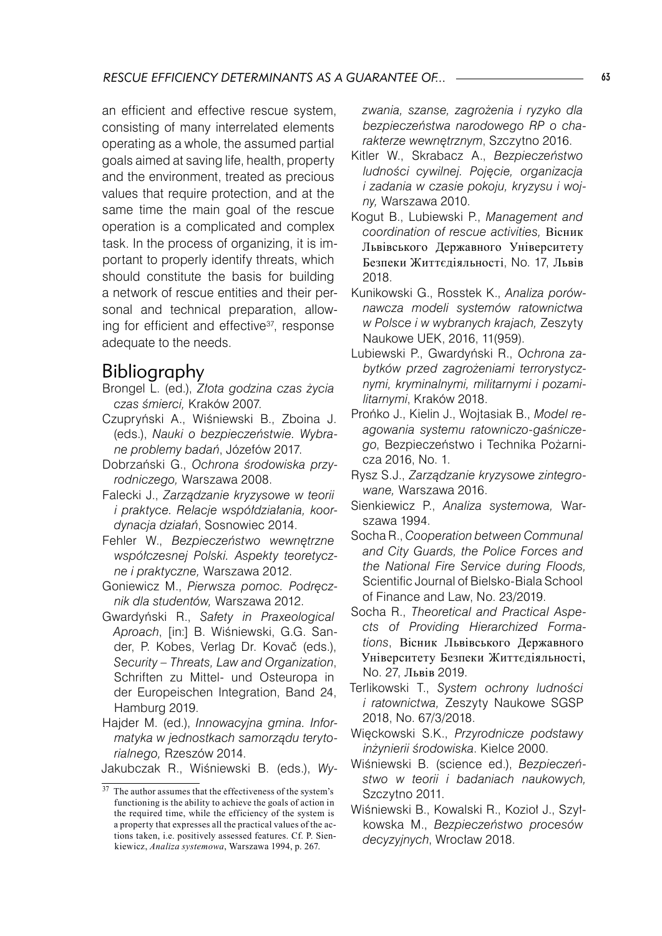an efficient and effective rescue system, consisting of many interrelated elements operating as a whole, the assumed partial goals aimed at saving life, health, property and the environment, treated as precious values that require protection, and at the same time the main goal of the rescue operation is a complicated and complex task. In the process of organizing, it is important to properly identify threats, which should constitute the basis for building a network of rescue entities and their personal and technical preparation, allowing for efficient and effective<sup>37</sup>, response adequate to the needs.

## Bibliography

- Brongel L. (ed.), *Złota godzina czas życia czas śmierci,* Kraków 2007.
- Czupryński A., Wiśniewski B., Zboina J. (eds.), *Nauki o bezpieczeństwie. Wybrane problemy badań*, Józefów 2017.
- Dobrzański G., *Ochrona środowiska przyrodniczego,* Warszawa 2008.
- Falecki J., *Zarządzanie kryzysowe w teorii i praktyce. Relacje współdziałania, koordynacja działań*, Sosnowiec 2014.
- Fehler W., *Bezpieczeństwo wewnętrzne współczesnej Polski. Aspekty teoretyczne i praktyczne,* Warszawa 2012.
- Goniewicz M., *Pierwsza pomoc. Podręcznik dla studentów,* Warszawa 2012.
- Gwardyński R., *Safety in Praxeological Aproach*, [in:] B. Wiśniewski, G.G. Sander, P. Kobes, Verlag Dr. Kovač (eds.), *Security – Threats, Law and Organization*, Schriften zu Mittel- und Osteuropa in der Europeischen Integration, Band 24, Hamburg 2019.
- Hajder M. (ed.), *Innowacyjna gmina. Informatyka w jednostkach samorządu terytorialnego,* Rzeszów 2014.

Jakubczak R., Wiśniewski B. (eds.), *Wy-*

*zwania, szanse, zagrożenia i ryzyko dla bezpieczeństwa narodowego RP o charakterze wewnętrznym*, Szczytno 2016.

- Kitler W., Skrabacz A., *Bezpieczeństwo ludności cywilnej. Pojęcie, organizacja i zadania w czasie pokoju, kryzysu i wojny,* Warszawa 2010.
- Kogut B., Lubiewski P., *Management and coordination of rescue activities,* Вісник Львівського Державного Університету Безпеки Життєдіяльності, No. 17, Львів 2018.
- Kunikowski G., Rosstek K., *Analiza porównawcza modeli systemów ratownictwa w Polsce i w wybranych krajach,* Zeszyty Naukowe UEK, 2016, 11(959).
- Lubiewski P., Gwardyński R., *Ochrona zabytków przed zagrożeniami terrorystycznymi, kryminalnymi, militarnymi i pozamilitarnymi*, Kraków 2018.
- Prońko J., Kielin J., Wojtasiak B., *Model reagowania systemu ratowniczo-gaśniczego*, Bezpieczeństwo i Technika Pożarnicza 2016, No. 1.
- Rysz S.J., *Zarządzanie kryzysowe zintegrowane,* Warszawa 2016.
- Sienkiewicz P., *Analiza systemowa,* Warszawa 1994.
- Socha R., *Cooperation between Communal and City Guards, the Police Forces and the National Fire Service during Floods,* Scientific Journal of Bielsko-Biala School of Finance and Law, No. 23/2019.
- Socha R., *Theoretical and Practical Aspects of Providing Hierarchized Formations*, Вісник Львівського Державного Університету Безпеки Життєдіяльності, No. 27, Львів 2019.
- Terlikowski T., *System ochrony ludności i ratownictwa,* Zeszyty Naukowe SGSP 2018, No. 67/3/2018.
- Więckowski S.K., *Przyrodnicze podstawy inżynierii środowiska*. Kielce 2000.
- Wiśniewski B. (science ed.), *Bezpieczeństwo w teorii i badaniach naukowych,*  Szczytno 2011.
- Wiśniewski B., Kowalski R., Kozioł J., Szyłkowska M., *Bezpieczeństwo procesów decyzyjnych*, Wrocław 2018.

<sup>&</sup>lt;sup>37</sup> The author assumes that the effectiveness of the system's functioning is the ability to achieve the goals of action in the required time, while the efficiency of the system is a property that expresses all the practical values of the actions taken, i.e. positively assessed features. Cf. P. Sienkiewicz, *Analiza systemowa*, Warszawa 1994, p. 267.